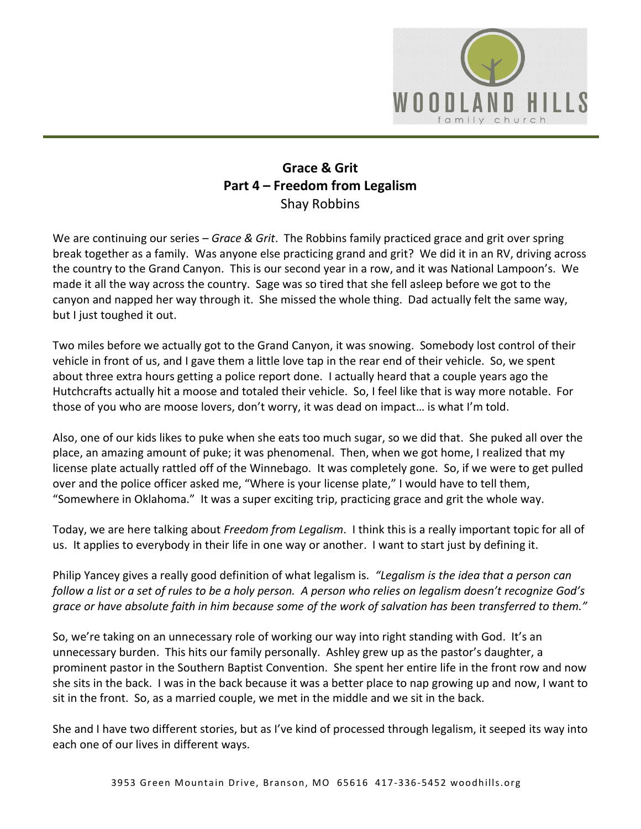

## **Grace & Grit Part 4 – Freedom from Legalism** Shay Robbins

We are continuing our series – *Grace & Grit*. The Robbins family practiced grace and grit over spring break together as a family. Was anyone else practicing grand and grit? We did it in an RV, driving across the country to the Grand Canyon. This is our second year in a row, and it was National Lampoon's. We made it all the way across the country. Sage was so tired that she fell asleep before we got to the canyon and napped her way through it. She missed the whole thing. Dad actually felt the same way, but I just toughed it out.

Two miles before we actually got to the Grand Canyon, it was snowing. Somebody lost control of their vehicle in front of us, and I gave them a little love tap in the rear end of their vehicle. So, we spent about three extra hours getting a police report done. I actually heard that a couple years ago the Hutchcrafts actually hit a moose and totaled their vehicle. So, I feel like that is way more notable. For those of you who are moose lovers, don't worry, it was dead on impact… is what I'm told.

Also, one of our kids likes to puke when she eats too much sugar, so we did that. She puked all over the place, an amazing amount of puke; it was phenomenal. Then, when we got home, I realized that my license plate actually rattled off of the Winnebago. It was completely gone. So, if we were to get pulled over and the police officer asked me, "Where is your license plate," I would have to tell them, "Somewhere in Oklahoma." It was a super exciting trip, practicing grace and grit the whole way.

Today, we are here talking about *Freedom from Legalism*. I think this is a really important topic for all of us. It applies to everybody in their life in one way or another. I want to start just by defining it.

Philip Yancey gives a really good definition of what legalism is. *"Legalism is the idea that a person can follow a list or a set of rules to be a holy person. A person who relies on legalism doesn't recognize God's grace or have absolute faith in him because some of the work of salvation has been transferred to them."*

So, we're taking on an unnecessary role of working our way into right standing with God. It's an unnecessary burden. This hits our family personally. Ashley grew up as the pastor's daughter, a prominent pastor in the Southern Baptist Convention. She spent her entire life in the front row and now she sits in the back. I was in the back because it was a better place to nap growing up and now, I want to sit in the front. So, as a married couple, we met in the middle and we sit in the back.

She and I have two different stories, but as I've kind of processed through legalism, it seeped its way into each one of our lives in different ways.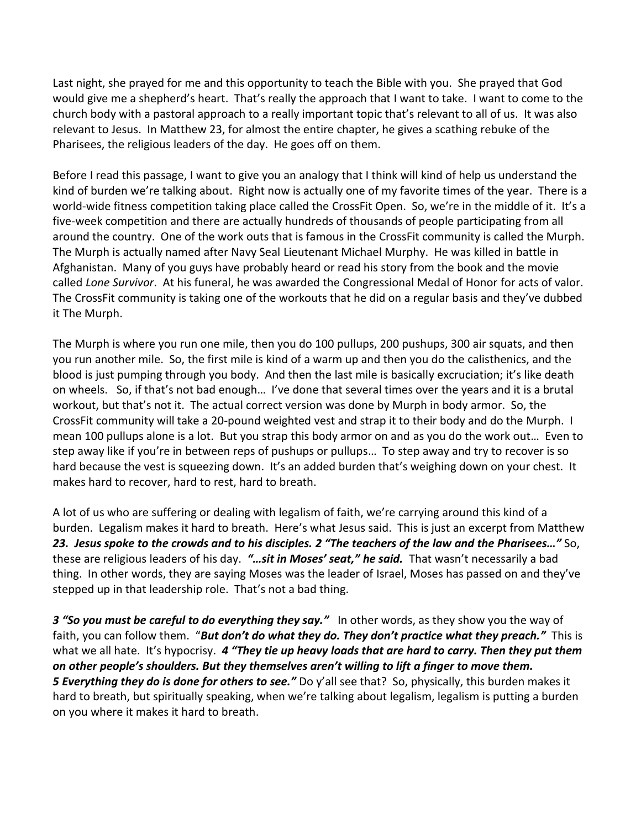Last night, she prayed for me and this opportunity to teach the Bible with you. She prayed that God would give me a shepherd's heart. That's really the approach that I want to take. I want to come to the church body with a pastoral approach to a really important topic that's relevant to all of us. It was also relevant to Jesus. In Matthew 23, for almost the entire chapter, he gives a scathing rebuke of the Pharisees, the religious leaders of the day. He goes off on them.

Before I read this passage, I want to give you an analogy that I think will kind of help us understand the kind of burden we're talking about. Right now is actually one of my favorite times of the year. There is a world-wide fitness competition taking place called the CrossFit Open. So, we're in the middle of it. It's a five-week competition and there are actually hundreds of thousands of people participating from all around the country. One of the work outs that is famous in the CrossFit community is called the Murph. The Murph is actually named after Navy Seal Lieutenant Michael Murphy. He was killed in battle in Afghanistan. Many of you guys have probably heard or read his story from the book and the movie called *Lone Survivor*. At his funeral, he was awarded the Congressional Medal of Honor for acts of valor. The CrossFit community is taking one of the workouts that he did on a regular basis and they've dubbed it The Murph.

The Murph is where you run one mile, then you do 100 pullups, 200 pushups, 300 air squats, and then you run another mile. So, the first mile is kind of a warm up and then you do the calisthenics, and the blood is just pumping through you body. And then the last mile is basically excruciation; it's like death on wheels. So, if that's not bad enough… I've done that several times over the years and it is a brutal workout, but that's not it. The actual correct version was done by Murph in body armor. So, the CrossFit community will take a 20-pound weighted vest and strap it to their body and do the Murph. I mean 100 pullups alone is a lot. But you strap this body armor on and as you do the work out… Even to step away like if you're in between reps of pushups or pullups… To step away and try to recover is so hard because the vest is squeezing down. It's an added burden that's weighing down on your chest. It makes hard to recover, hard to rest, hard to breath.

A lot of us who are suffering or dealing with legalism of faith, we're carrying around this kind of a burden. Legalism makes it hard to breath. Here's what Jesus said. This is just an excerpt from Matthew *23. Jesus spoke to the crowds and to his disciples. 2 "The teachers of the law and the Pharisees…"* So, these are religious leaders of his day. *"…sit in Moses' seat," he said.* That wasn't necessarily a bad thing. In other words, they are saying Moses was the leader of Israel, Moses has passed on and they've stepped up in that leadership role. That's not a bad thing.

*3 "So you must be careful to do everything they say."* In other words, as they show you the way of faith, you can follow them. "*But don't do what they do. They don't practice what they preach."* This is what we all hate. It's hypocrisy. *4 "They tie up heavy loads that are hard to carry. Then they put them on other people's shoulders. But they themselves aren't willing to lift a finger to move them. 5 Everything they do is done for others to see."* Do y'all see that? So, physically, this burden makes it hard to breath, but spiritually speaking, when we're talking about legalism, legalism is putting a burden on you where it makes it hard to breath.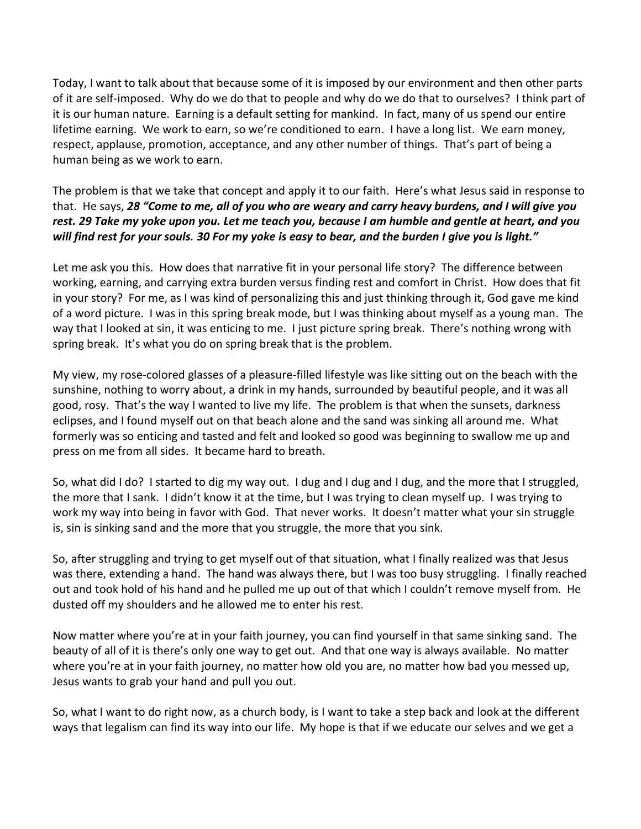Today, I want to talk about that because some of it is imposed by our environment and then other parts of it are self-imposed. Why do we do that to people and why do we do that to ourselves? I think part of it is our human nature. Earning is a default setting for mankind. In fact, many of us spend our entire lifetime earning. We work to earn, so we're conditioned to earn. I have a long list. We earn money, respect, applause, promotion, acceptance, and any other number of things. That's part of being a human being as we work to earn.

The problem is that we take that concept and apply it to our faith. Here's what Jesus said in response to that. He says, *28 "Come to me, all of you who are weary and carry heavy burdens, and I will give you rest. 29 Take my yoke upon you. Let me teach you, because I am humble and gentle at heart, and you will find rest for your souls. 30 For my yoke is easy to bear, and the burden I give you is light."*

Let me ask you this. How does that narrative fit in your personal life story? The difference between working, earning, and carrying extra burden versus finding rest and comfort in Christ. How does that fit in your story? For me, as I was kind of personalizing this and just thinking through it, God gave me kind of a word picture. I was in this spring break mode, but I was thinking about myself as a young man. The way that I looked at sin, it was enticing to me. I just picture spring break. There's nothing wrong with spring break. It's what you do on spring break that is the problem.

My view, my rose-colored glasses of a pleasure-filled lifestyle was like sitting out on the beach with the sunshine, nothing to worry about, a drink in my hands, surrounded by beautiful people, and it was all good, rosy. That's the way I wanted to live my life. The problem is that when the sunsets, darkness eclipses, and I found myself out on that beach alone and the sand was sinking all around me. What formerly was so enticing and tasted and felt and looked so good was beginning to swallow me up and press on me from all sides. It became hard to breath.

So, what did I do? I started to dig my way out. I dug and I dug and I dug, and the more that I struggled, the more that I sank. I didn't know it at the time, but I was trying to clean myself up. I was trying to work my way into being in favor with God. That never works. It doesn't matter what your sin struggle is, sin is sinking sand and the more that you struggle, the more that you sink.

So, after struggling and trying to get myself out of that situation, what I finally realized was that Jesus was there, extending a hand. The hand was always there, but I was too busy struggling. I finally reached out and took hold of his hand and he pulled me up out of that which I couldn't remove myself from. He dusted off my shoulders and he allowed me to enter his rest.

Now matter where you're at in your faith journey, you can find yourself in that same sinking sand. The beauty of all of it is there's only one way to get out. And that one way is always available. No matter where you're at in your faith journey, no matter how old you are, no matter how bad you messed up, Jesus wants to grab your hand and pull you out.

So, what I want to do right now, as a church body, is I want to take a step back and look at the different ways that legalism can find its way into our life. My hope is that if we educate our selves and we get a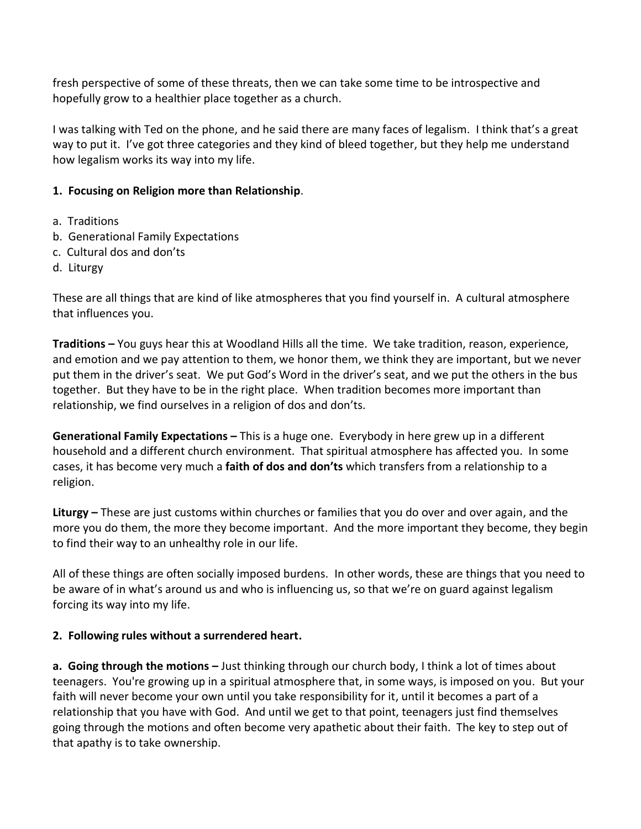fresh perspective of some of these threats, then we can take some time to be introspective and hopefully grow to a healthier place together as a church.

I was talking with Ted on the phone, and he said there are many faces of legalism. I think that's a great way to put it. I've got three categories and they kind of bleed together, but they help me understand how legalism works its way into my life.

## **1. Focusing on Religion more than Relationship**.

- a. Traditions
- b. Generational Family Expectations
- c. Cultural dos and don'ts
- d. Liturgy

These are all things that are kind of like atmospheres that you find yourself in. A cultural atmosphere that influences you.

**Traditions –** You guys hear this at Woodland Hills all the time. We take tradition, reason, experience, and emotion and we pay attention to them, we honor them, we think they are important, but we never put them in the driver's seat. We put God's Word in the driver's seat, and we put the others in the bus together. But they have to be in the right place. When tradition becomes more important than relationship, we find ourselves in a religion of dos and don'ts.

**Generational Family Expectations –** This is a huge one. Everybody in here grew up in a different household and a different church environment. That spiritual atmosphere has affected you. In some cases, it has become very much a **faith of dos and don'ts** which transfers from a relationship to a religion.

**Liturgy –** These are just customs within churches or families that you do over and over again, and the more you do them, the more they become important. And the more important they become, they begin to find their way to an unhealthy role in our life.

All of these things are often socially imposed burdens. In other words, these are things that you need to be aware of in what's around us and who is influencing us, so that we're on guard against legalism forcing its way into my life.

## **2. Following rules without a surrendered heart.**

**a. Going through the motions –** Just thinking through our church body, I think a lot of times about teenagers. You're growing up in a spiritual atmosphere that, in some ways, is imposed on you. But your faith will never become your own until you take responsibility for it, until it becomes a part of a relationship that you have with God. And until we get to that point, teenagers just find themselves going through the motions and often become very apathetic about their faith. The key to step out of that apathy is to take ownership.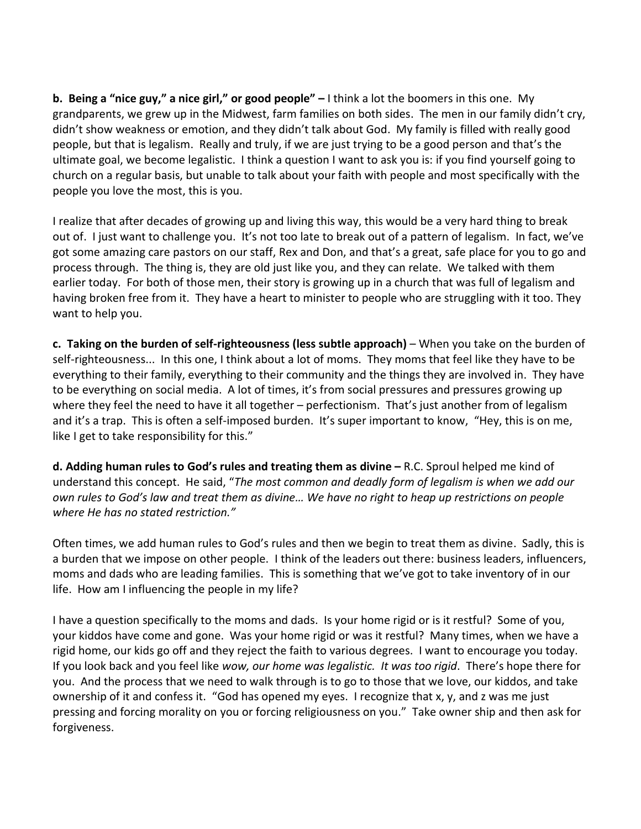**b. Being a "nice guy," a nice girl," or good people" –** I think a lot the boomers in this one. My grandparents, we grew up in the Midwest, farm families on both sides. The men in our family didn't cry, didn't show weakness or emotion, and they didn't talk about God. My family is filled with really good people, but that is legalism. Really and truly, if we are just trying to be a good person and that's the ultimate goal, we become legalistic. I think a question I want to ask you is: if you find yourself going to church on a regular basis, but unable to talk about your faith with people and most specifically with the people you love the most, this is you.

I realize that after decades of growing up and living this way, this would be a very hard thing to break out of. I just want to challenge you. It's not too late to break out of a pattern of legalism. In fact, we've got some amazing care pastors on our staff, Rex and Don, and that's a great, safe place for you to go and process through. The thing is, they are old just like you, and they can relate. We talked with them earlier today. For both of those men, their story is growing up in a church that was full of legalism and having broken free from it. They have a heart to minister to people who are struggling with it too. They want to help you.

**c. Taking on the burden of self-righteousness (less subtle approach)** – When you take on the burden of self-righteousness... In this one, I think about a lot of moms. They moms that feel like they have to be everything to their family, everything to their community and the things they are involved in. They have to be everything on social media. A lot of times, it's from social pressures and pressures growing up where they feel the need to have it all together – perfectionism. That's just another from of legalism and it's a trap. This is often a self-imposed burden. It's super important to know, "Hey, this is on me, like I get to take responsibility for this."

**d. Adding human rules to God's rules and treating them as divine –** R.C. Sproul helped me kind of understand this concept. He said, "*The most common and deadly form of legalism is when we add our own rules to God's law and treat them as divine… We have no right to heap up restrictions on people where He has no stated restriction."*

Often times, we add human rules to God's rules and then we begin to treat them as divine. Sadly, this is a burden that we impose on other people. I think of the leaders out there: business leaders, influencers, moms and dads who are leading families. This is something that we've got to take inventory of in our life. How am I influencing the people in my life?

I have a question specifically to the moms and dads. Is your home rigid or is it restful? Some of you, your kiddos have come and gone. Was your home rigid or was it restful? Many times, when we have a rigid home, our kids go off and they reject the faith to various degrees. I want to encourage you today. If you look back and you feel like *wow, our home was legalistic. It was too rigid*. There's hope there for you. And the process that we need to walk through is to go to those that we love, our kiddos, and take ownership of it and confess it. "God has opened my eyes. I recognize that x, y, and z was me just pressing and forcing morality on you or forcing religiousness on you." Take owner ship and then ask for forgiveness.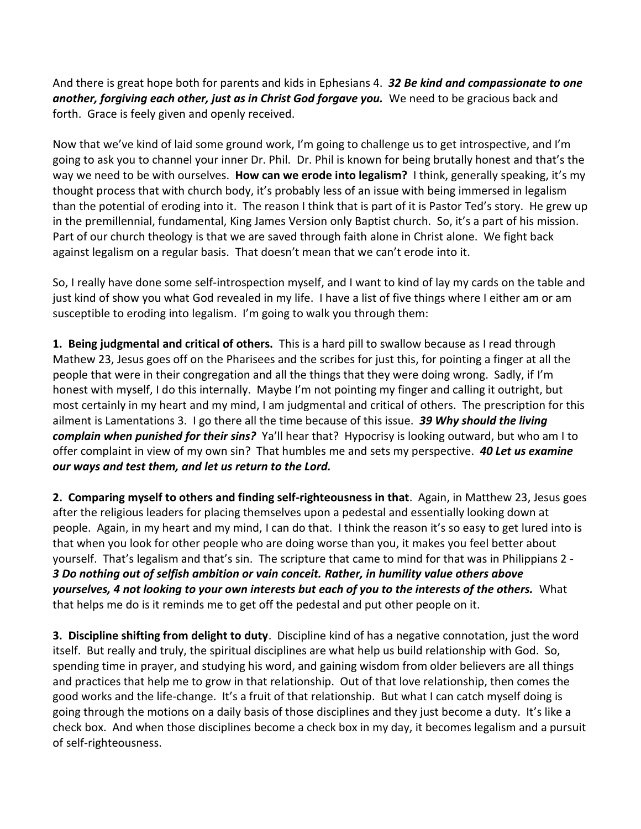And there is great hope both for parents and kids in Ephesians 4. *32 Be kind and compassionate to one another, forgiving each other, just as in Christ God forgave you.* We need to be gracious back and forth. Grace is feely given and openly received.

Now that we've kind of laid some ground work, I'm going to challenge us to get introspective, and I'm going to ask you to channel your inner Dr. Phil. Dr. Phil is known for being brutally honest and that's the way we need to be with ourselves. **How can we erode into legalism?** I think, generally speaking, it's my thought process that with church body, it's probably less of an issue with being immersed in legalism than the potential of eroding into it. The reason I think that is part of it is Pastor Ted's story. He grew up in the premillennial, fundamental, King James Version only Baptist church. So, it's a part of his mission. Part of our church theology is that we are saved through faith alone in Christ alone. We fight back against legalism on a regular basis. That doesn't mean that we can't erode into it.

So, I really have done some self-introspection myself, and I want to kind of lay my cards on the table and just kind of show you what God revealed in my life. I have a list of five things where I either am or am susceptible to eroding into legalism. I'm going to walk you through them:

**1. Being judgmental and critical of others.** This is a hard pill to swallow because as I read through Mathew 23, Jesus goes off on the Pharisees and the scribes for just this, for pointing a finger at all the people that were in their congregation and all the things that they were doing wrong. Sadly, if I'm honest with myself, I do this internally. Maybe I'm not pointing my finger and calling it outright, but most certainly in my heart and my mind, I am judgmental and critical of others. The prescription for this ailment is Lamentations 3. I go there all the time because of this issue. *39 Why should the living complain when punished for their sins?* Ya'll hear that? Hypocrisy is looking outward, but who am I to offer complaint in view of my own sin? That humbles me and sets my perspective. *40 Let us examine our ways and test them, and let us return to the Lord.*

**2. Comparing myself to others and finding self-righteousness in that**.Again, in Matthew 23, Jesus goes after the religious leaders for placing themselves upon a pedestal and essentially looking down at people. Again, in my heart and my mind, I can do that. I think the reason it's so easy to get lured into is that when you look for other people who are doing worse than you, it makes you feel better about yourself. That's legalism and that's sin. The scripture that came to mind for that was in Philippians 2 - *3 Do nothing out of selfish ambition or vain conceit. Rather, in humility value others above yourselves, 4 not looking to your own interests but each of you to the interests of the others.* What that helps me do is it reminds me to get off the pedestal and put other people on it.

**3. Discipline shifting from delight to duty**. Discipline kind of has a negative connotation, just the word itself. But really and truly, the spiritual disciplines are what help us build relationship with God. So, spending time in prayer, and studying his word, and gaining wisdom from older believers are all things and practices that help me to grow in that relationship. Out of that love relationship, then comes the good works and the life-change. It's a fruit of that relationship. But what I can catch myself doing is going through the motions on a daily basis of those disciplines and they just become a duty. It's like a check box. And when those disciplines become a check box in my day, it becomes legalism and a pursuit of self-righteousness.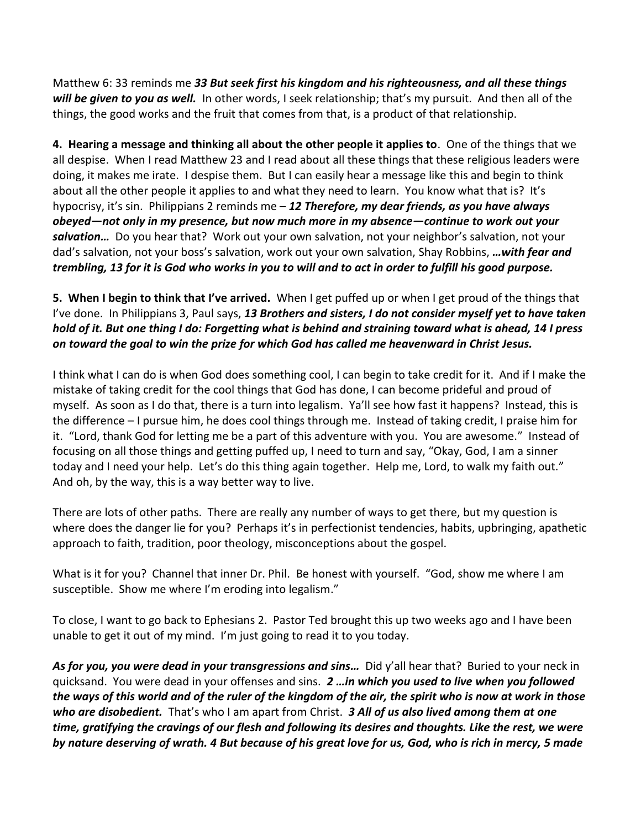Matthew 6: 33 reminds me *33 But seek first his kingdom and his righteousness, and all these things will be given to you as well.* In other words, I seek relationship; that's my pursuit. And then all of the things, the good works and the fruit that comes from that, is a product of that relationship.

**4. Hearing a message and thinking all about the other people it applies to**. One of the things that we all despise. When I read Matthew 23 and I read about all these things that these religious leaders were doing, it makes me irate. I despise them. But I can easily hear a message like this and begin to think about all the other people it applies to and what they need to learn. You know what that is? It's hypocrisy, it's sin. Philippians 2 reminds me – *12 Therefore, my dear friends, as you have always obeyed—not only in my presence, but now much more in my absence—continue to work out your salvation…* Do you hear that? Work out your own salvation, not your neighbor's salvation, not your dad's salvation, not your boss's salvation, work out your own salvation, Shay Robbins, *…with fear and trembling, 13 for it is God who works in you to will and to act in order to fulfill his good purpose.*

## **5. When I begin to think that I've arrived.** When I get puffed up or when I get proud of the things that I've done. In Philippians 3, Paul says, *13 Brothers and sisters, I do not consider myself yet to have taken hold of it. But one thing I do: Forgetting what is behind and straining toward what is ahead, 14 I press on toward the goal to win the prize for which God has called me heavenward in Christ Jesus.*

I think what I can do is when God does something cool, I can begin to take credit for it. And if I make the mistake of taking credit for the cool things that God has done, I can become prideful and proud of myself. As soon as I do that, there is a turn into legalism. Ya'll see how fast it happens? Instead, this is the difference – I pursue him, he does cool things through me. Instead of taking credit, I praise him for it. "Lord, thank God for letting me be a part of this adventure with you. You are awesome." Instead of focusing on all those things and getting puffed up, I need to turn and say, "Okay, God, I am a sinner today and I need your help. Let's do this thing again together. Help me, Lord, to walk my faith out." And oh, by the way, this is a way better way to live.

There are lots of other paths. There are really any number of ways to get there, but my question is where does the danger lie for you? Perhaps it's in perfectionist tendencies, habits, upbringing, apathetic approach to faith, tradition, poor theology, misconceptions about the gospel.

What is it for you? Channel that inner Dr. Phil. Be honest with yourself. "God, show me where I am susceptible. Show me where I'm eroding into legalism."

To close, I want to go back to Ephesians 2. Pastor Ted brought this up two weeks ago and I have been unable to get it out of my mind. I'm just going to read it to you today.

*As for you, you were dead in your transgressions and sins…* Did y'all hear that? Buried to your neck in quicksand. You were dead in your offenses and sins. *2 …in which you used to live when you followed the ways of this world and of the ruler of the kingdom of the air, the spirit who is now at work in those who are disobedient.* That's who I am apart from Christ. *3 All of us also lived among them at one time, gratifying the cravings of our flesh and following its desires and thoughts. Like the rest, we were by nature deserving of wrath. 4 But because of his great love for us, God, who is rich in mercy, 5 made*